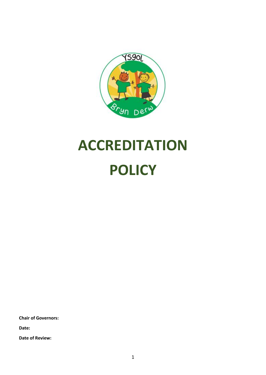

# **ACCREDITATION POLICY**

**Chair of Governors:**

**Date:**

**Date of Review:**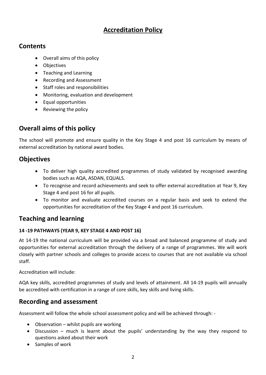# **Accreditation Policy**

## **Contents**

- Overall aims of this policy
- Objectives
- Teaching and Learning
- Recording and Assessment
- Staff roles and responsibilities
- Monitoring, evaluation and development
- Equal opportunities
- Reviewing the policy

## **Overall aims of this policy**

The school will promote and ensure quality in the Key Stage 4 and post 16 curriculum by means of external accreditation by national award bodies.

## **Objectives**

- To deliver high quality accredited programmes of study validated by recognised awarding bodies such as AQA, ASDAN, EQUALS.
- To recognise and record achievements and seek to offer external accreditation at Year 9, Key Stage 4 and post 16 for all pupils.
- To monitor and evaluate accredited courses on a regular basis and seek to extend the opportunities for accreditation of the Key Stage 4 and post 16 curriculum.

## **Teaching and learning**

#### **14 -19 PATHWAYS (YEAR 9, KEY STAGE 4 AND POST 16)**

At 14-19 the national curriculum will be provided via a broad and balanced programme of study and opportunities for external accreditation through the delivery of a range of programmes. We will work closely with partner schools and colleges to provide access to courses that are not available via school staff.

Accreditation will include:

AQA key skills, accredited programmes of study and levels of attainment. All 14-19 pupils will annually be accredited with certification in a range of core skills, key skills and living skills.

## **Recording and assessment**

Assessment will follow the whole school assessment policy and will be achieved through: -

- Observation whilst pupils are working
- Discussion much is learnt about the pupils' understanding by the way they respond to questions asked about their work
- Samples of work